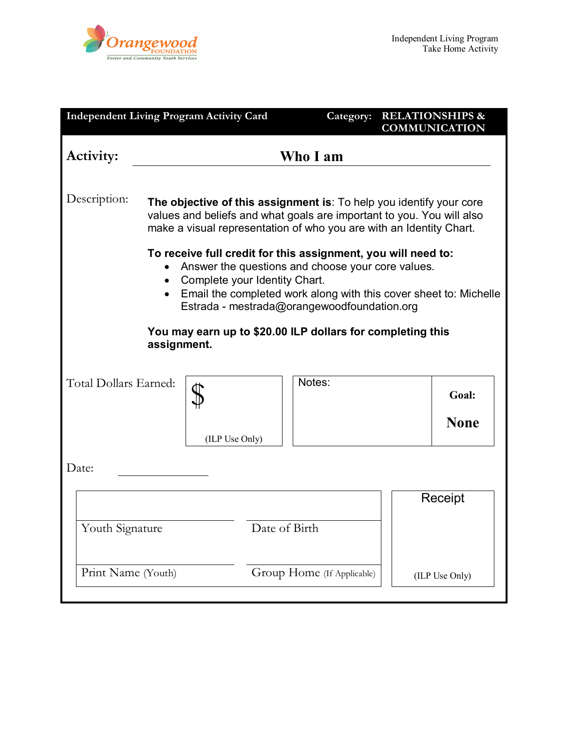

| <b>Independent Living Program Activity Card</b> |                                                                                                                                                                                                                     |                                 |               | Category:                                                                                                                                                                                                                                                                                            |  | <b>RELATIONSHIPS &amp;</b><br><b>COMMUNICATION</b> |
|-------------------------------------------------|---------------------------------------------------------------------------------------------------------------------------------------------------------------------------------------------------------------------|---------------------------------|---------------|------------------------------------------------------------------------------------------------------------------------------------------------------------------------------------------------------------------------------------------------------------------------------------------------------|--|----------------------------------------------------|
| Activity:                                       | Who I am                                                                                                                                                                                                            |                                 |               |                                                                                                                                                                                                                                                                                                      |  |                                                    |
| Description:                                    | The objective of this assignment is: To help you identify your core<br>values and beliefs and what goals are important to you. You will also<br>make a visual representation of who you are with an Identity Chart. |                                 |               |                                                                                                                                                                                                                                                                                                      |  |                                                    |
|                                                 |                                                                                                                                                                                                                     | • Complete your Identity Chart. |               | To receive full credit for this assignment, you will need to:<br>Answer the questions and choose your core values.<br>Email the completed work along with this cover sheet to: Michelle<br>Estrada - mestrada@orangewoodfoundation.org<br>You may earn up to \$20.00 ILP dollars for completing this |  |                                                    |
|                                                 | assignment.                                                                                                                                                                                                         |                                 |               |                                                                                                                                                                                                                                                                                                      |  |                                                    |
| Total Dollars Earned:                           |                                                                                                                                                                                                                     |                                 |               | Notes:                                                                                                                                                                                                                                                                                               |  | Goal:                                              |
|                                                 |                                                                                                                                                                                                                     | (ILP Use Only)                  |               |                                                                                                                                                                                                                                                                                                      |  | <b>None</b>                                        |
| Date:                                           |                                                                                                                                                                                                                     |                                 |               |                                                                                                                                                                                                                                                                                                      |  |                                                    |
|                                                 |                                                                                                                                                                                                                     |                                 |               |                                                                                                                                                                                                                                                                                                      |  | Receipt                                            |
| Youth Signature                                 |                                                                                                                                                                                                                     |                                 | Date of Birth |                                                                                                                                                                                                                                                                                                      |  |                                                    |
| Print Name (Youth)                              |                                                                                                                                                                                                                     |                                 |               | Group Home (If Applicable)                                                                                                                                                                                                                                                                           |  | (ILP Use Only)                                     |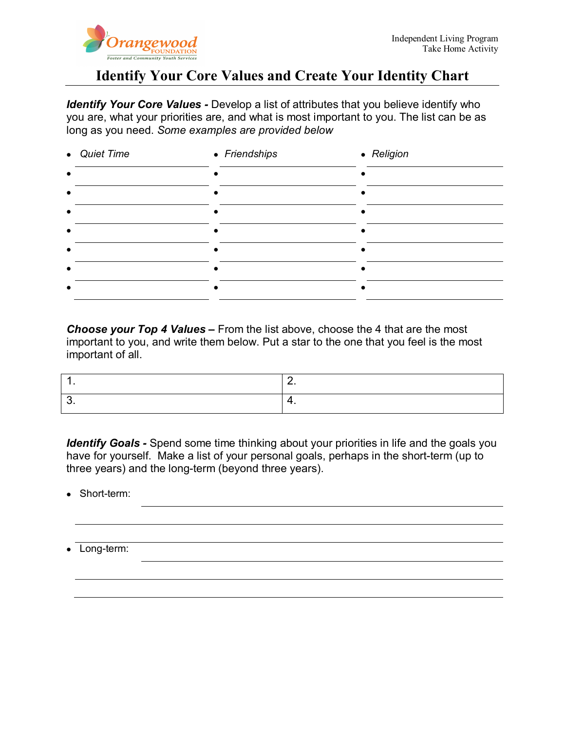

## **Identify Your Core Values and Create Your Identity Chart**

*Identify Your Core Values -* Develop a list of attributes that you believe identify who you are, what your priorities are, and what is most important to you. The list can be as long as you need. *Some examples are provided below*

| • Quiet Time | • Friendships | • Religion |
|--------------|---------------|------------|
|              |               |            |
|              |               |            |
|              |               |            |
|              |               |            |
|              |               |            |
|              |               |            |
|              |               |            |
|              |               |            |

*Choose your Top 4 Values –* From the list above, choose the 4 that are the most important to you, and write them below. Put a star to the one that you feel is the most important of all.

*Identify Goals -* Spend some time thinking about your priorities in life and the goals you have for yourself. Make a list of your personal goals, perhaps in the short-term (up to three years) and the long-term (beyond three years).

• Short-term:

• Long-term: